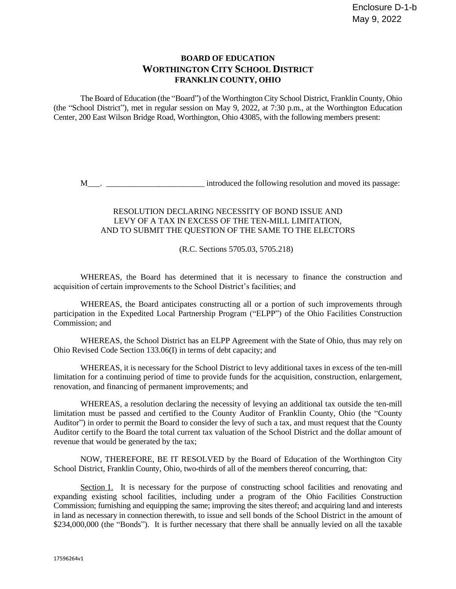## **BOARD OF EDUCATION WORTHINGTON CITY SCHOOL DISTRICT FRANKLIN COUNTY, OHIO**

The Board of Education (the "Board") of the Worthington City School District, Franklin County, Ohio (the "School District"), met in regular session on May 9, 2022, at 7:30 p.m., at the Worthington Education Center, 200 East Wilson Bridge Road, Worthington, Ohio 43085, with the following members present:

M\_\_\_. \_\_\_\_\_\_\_\_\_\_\_\_\_\_\_\_\_\_\_\_\_\_\_\_ introduced the following resolution and moved its passage:

## RESOLUTION DECLARING NECESSITY OF BOND ISSUE AND LEVY OF A TAX IN EXCESS OF THE TEN-MILL LIMITATION, AND TO SUBMIT THE QUESTION OF THE SAME TO THE ELECTORS

(R.C. Sections 5705.03, 5705.218)

WHEREAS, the Board has determined that it is necessary to finance the construction and acquisition of certain improvements to the School District's facilities; and

WHEREAS, the Board anticipates constructing all or a portion of such improvements through participation in the Expedited Local Partnership Program ("ELPP") of the Ohio Facilities Construction Commission; and

WHEREAS, the School District has an ELPP Agreement with the State of Ohio, thus may rely on Ohio Revised Code Section 133.06(I) in terms of debt capacity; and

WHEREAS, it is necessary for the School District to levy additional taxes in excess of the ten-mill limitation for a continuing period of time to provide funds for the acquisition, construction, enlargement, renovation, and financing of permanent improvements; and

WHEREAS, a resolution declaring the necessity of levying an additional tax outside the ten-mill limitation must be passed and certified to the County Auditor of Franklin County, Ohio (the "County Auditor") in order to permit the Board to consider the levy of such a tax, and must request that the County Auditor certify to the Board the total current tax valuation of the School District and the dollar amount of revenue that would be generated by the tax;

NOW, THEREFORE, BE IT RESOLVED by the Board of Education of the Worthington City School District, Franklin County, Ohio, two-thirds of all of the members thereof concurring, that:

Section 1. It is necessary for the purpose of constructing school facilities and renovating and expanding existing school facilities, including under a program of the Ohio Facilities Construction Commission; furnishing and equipping the same; improving the sites thereof; and acquiring land and interests in land as necessary in connection therewith, to issue and sell bonds of the School District in the amount of \$234,000,000 (the "Bonds"). It is further necessary that there shall be annually levied on all the taxable